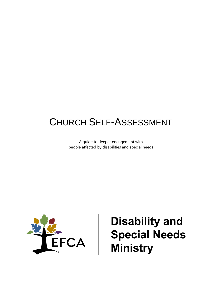# CHURCH SELF-ASSESSMENT

A guide to deeper engagement with people affected by disabilities and special needs



**Disability and Special Needs Ministry**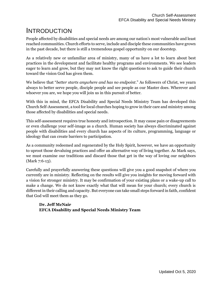## INTRODUCTION

People affected by disabilities and special needs are among our nation's most vulnerable and least reached communities. Church efforts to serve, include and disciple these communities have grown in the past decade, but there is still a tremendous gospel opportunity on our doorstep.

As a relatively new or unfamiliar area of ministry, many of us have a lot to learn about best practices in the development and facilitate healthy programs and environments. We see leaders eager to learn and grow, but they may not know the right questions to ask to guide their church toward the vision God has given them.

We believe that "*better starts anywhere and has no endpoint*." As followers of Christ, we yearn always to better serve people, disciple people and see people as our Master does. Wherever and whoever you are, we hope you will join us in this pursuit of better.

With this in mind, the EFCA Disability and Special Needs Ministry Team has developed this Church Self-Assessment, a tool for local churches hoping to grow in their care and ministry among those affected by disabilities and special needs.

This self-assessment requires true honesty and introspection. It may cause pain or disagreements or even challenge your self-image as a church. Human society has always discriminated against people with disabilities and every church has aspects of its culture, programming, language or ideology that can create barriers to participation.

As a community redeemed and regenerated by the Holy Spirit, however, we have an opportunity to uproot those devaluing practices and offer an alternative way of living together. As Mark says, we must examine our traditions and discard those that get in the way of loving our neighbors (Mark 7:6-13).

Carefully and prayerfully answering these questions will give you a good snapshot of where you currently are in ministry. Reflecting on the results will give you insights for moving forward with a vision for stronger ministry. It may be confirmation of your existing plans or a wake-up call to make a change. We do not know exactly what that will mean for your church; every church is different in their calling and capacity. But everyone can take small steps forward in faith, confident that God will meet them as they go.

#### **Dr. Jeff McNair EFCA Disability and Special Needs Ministry Team**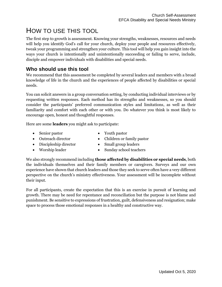# HOW TO USE THIS TOOL

The first step to growth is assessment. Knowing your strengths, weaknesses, resources and needs will help you identify God's call for your church, deploy your people and resources effectively, tweak your programming and strengthen your culture. This tool will help you gain insight into the ways your church is intentionally and unintentionally succeeding or failing to serve, include, disciple and empower individuals with disabilities and special needs.

### **Who should use this tool**

We recommend that this assessment be completed by several leaders and members with a broad knowledge of life in the church and the experiences of people affected by disabilities or special needs.

You can solicit answers in a group conversation setting, by conducting individual interviews or by requesting written responses. Each method has its strengths and weaknesses, so you should consider the participants' preferred communication styles and limitations, as well as their familiarity and comfort with each other or with you. Do whatever you think is most likely to encourage open, honest and thoughtful responses.

Here are some **leaders** you might ask to participate:

- Senior pastor
- Outreach director
- Discipleship director
- Worship leader
- Youth pastor
- Children or family pastor
- Small group leaders
- Sunday school teachers

We also strongly recommend including **those affected by disabilities or special needs**, both the individuals themselves and their family members or caregivers. Surveys and our own experience have shown that church leaders and those they seek to serve often have a very different perspective on the church's ministry effectiveness. Your assessment will be incomplete without their input.

For all participants, create the expectation that this is an exercise in pursuit of learning and growth. There may be need for repentance and reconciliation but the purpose is not blame and punishment. Be sensitive to expressions of frustration, guilt, defensiveness and resignation; make space to process those emotional responses in a healthy and constructive way.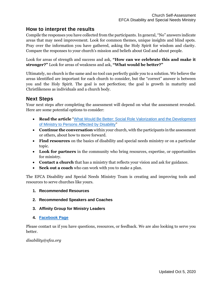#### **How to interpret the results**

Compile the responses you have collected from the participants. In general, "No" answers indicate areas that may need improvement. Look for common themes, unique insights and blind spots. Pray over the information you have gathered, asking the Holy Spirit for wisdom and clarity. Compare the responses to your church's mission and beliefs about God and about people.

Look for areas of strength and success and ask, **"How can we celebrate this and make it stronger?"** Look for areas of weakness and ask, **"What would be better?"**

Ultimately, no church is the same and no tool can perfectly guide you to a solution. We believe the areas identified are important for each church to consider, but the "correct" answer is between you and the Holy Spirit. The goal is not perfection; the goal is growth in maturity and Christlikeness as individuals and a church body.

#### **Next Steps**

Your next steps after completing the assessment will depend on what the assessment revealed. Here are some potential options to consider:

- **Read the article** "What Would Be Better: [Social Role Valorization and the Development](https://journal.joniandfriends.org/index.php/jcid/article/view/231)  [of Ministry to Persons Affected by Disability](https://journal.joniandfriends.org/index.php/jcid/article/view/231)"
- **Continue the conversation** within your church, with the participants in the assessment or others, about how to move forward.
- **Find resources** on the basics of disability and special needs ministry or on a particular topic.
- **Look for partners** in the community who bring resources, expertise, or opportunities for ministry.
- **Contact a church** that has a ministry that reflects your vision and ask for guidance.
- **Seek out a coach** who can work with you to make a plan.

The EFCA Disability and Special Needs Ministry Team is creating and improving tools and resources to serve churches like yours.

- **1. Recommended Resources**
- **2. Recommended Speakers and Coaches**
- **3. Affinity Group for Ministry Leaders**
- **4. [Facebook Page](https://www.facebook.com/EFCASpecialNeeds/)**

Please contact us if you have questions, resources, or feedback. We are also looking to serve you better.

#### *disability@efca.org*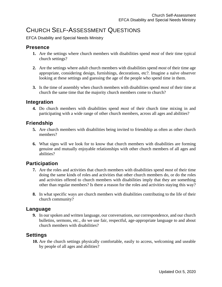### CHURCH SELF-ASSESSMENT QUESTIONS

EFCA Disability and Special Needs Ministry

#### **Presence**

- **1.** Are the settings where church members with disabilities spend *most* of their time typical church settings?
- **2.** Are the settings where *adult* church members with disabilities spend *most* of their time age appropriate, considering design, furnishings, decorations, etc?. Imagine a naïve observer looking at these settings and guessing the age of the people who spend time in them.
- **3.** Is the time of assembly when church members with disabilities spend *most* of their time at church the same time that the majority church members come to church?

#### **Integration**

**4.** Do church members with disabilities spend *most* of their church time mixing in and participating with a wide range of other church members, across all ages and abilities?

#### **Friendship**

- **5.** Are church members with disabilities being invited to friendship as often as other church members?
- **6.** What signs will we look for to know that church members with disabilities are forming genuine and mutually enjoyable relationships with other church members of all ages and abilities?

### **Participation**

- **7.** Are the roles and activities that church members with disabilities spend *most* of their time doing the same kinds of roles and activities that other church members do, or do the roles and activities offered to church members with disabilities imply that they are something other than regular members? Is there a reason for the roles and activities staying this way?
- **8.** In what specific ways are church members with disabilities contributing to the life of their church community?

#### **Language**

**9.** In our spoken and written language, our conversations, our correspondence, and our church bulletins, sermons, etc., do we use fair, respectful, age-appropriate language to and about church members with disabilities?

#### **Settings**

**10.** Are the church settings physically comfortable, easily to access, welcoming and useable by people of all ages and abilities?